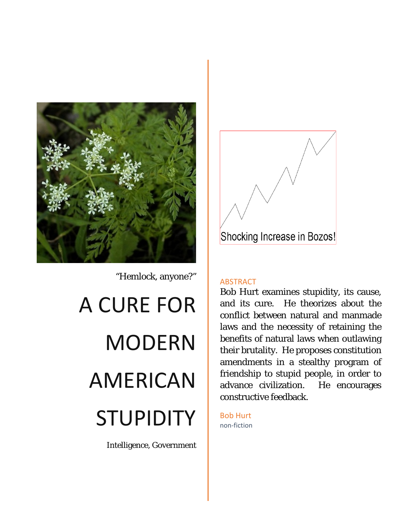

#### "Hemlock, anyone?"

# A CURE FOR MODERN AMERICAN STUPIDITY

Intelligence, Government



Shocking Increase in Bozos!

#### ABSTRACT

Bob Hurt examines stupidity, its cause, and its cure. He theorizes about the conflict between natural and manmade laws and the necessity of retaining the benefits of natural laws when outlawing their brutality. He proposes constitution amendments in a stealthy program of friendship to stupid people, in order to advance civilization. He encourages constructive feedback.

Bob Hurt non-fiction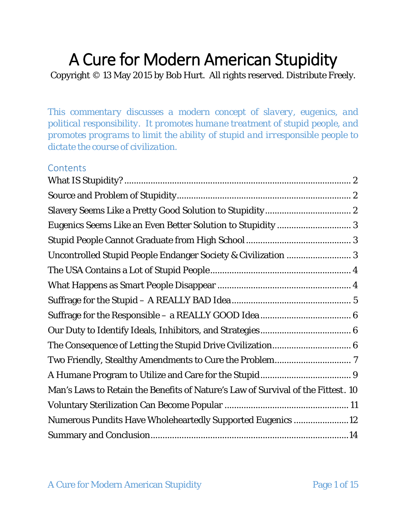# A Cure for Modern American Stupidity

Copyright © 13 May 2015 by Bob Hurt. All rights reserved. Distribute Freely.

*This commentary discusses a modern concept of slavery, eugenics, and political responsibility. It promotes humane treatment of stupid people, and promotes programs to limit the ability of stupid and irresponsible people to dictate the course of civilization.*

# **Contents**

| Eugenics Seems Like an Even Better Solution to Stupidity  3                      |
|----------------------------------------------------------------------------------|
|                                                                                  |
| Uncontrolled Stupid People Endanger Society & Civilization  3                    |
|                                                                                  |
|                                                                                  |
|                                                                                  |
|                                                                                  |
|                                                                                  |
|                                                                                  |
|                                                                                  |
|                                                                                  |
| Man's Laws to Retain the Benefits of Nature's Law of Survival of the Fittest. 10 |
|                                                                                  |
| Numerous Pundits Have Wholeheartedly Supported Eugenics 12                       |
|                                                                                  |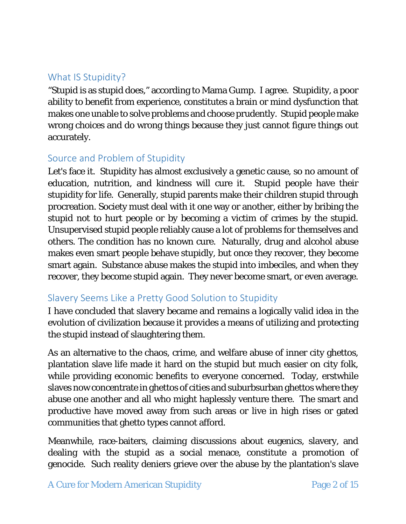# <span id="page-2-0"></span>What IS Stupidity?

"Stupid is as stupid does," according to Mama Gump. I agree. Stupidity, a poor ability to benefit from experience, constitutes a brain or mind dysfunction that makes one unable to solve problems and choose prudently. Stupid people make wrong choices and do wrong things because they just cannot figure things out accurately.

# <span id="page-2-1"></span>Source and Problem of Stupidity

Let's face it. Stupidity has almost exclusively a genetic cause, so no amount of education, nutrition, and kindness will cure it. Stupid people have their stupidity for life. Generally, stupid parents make their children stupid through procreation. Society must deal with it one way or another, either by bribing the stupid not to hurt people or by becoming a victim of crimes by the stupid. Unsupervised stupid people reliably cause a lot of problems for themselves and others. The condition has no known cure. Naturally, drug and alcohol abuse makes even smart people behave stupidly, but once they recover, they become smart again. Substance abuse makes the stupid into imbeciles, and when they recover, they become stupid again. They never become smart, or even average.

# <span id="page-2-2"></span>Slavery Seems Like a Pretty Good Solution to Stupidity

I have concluded that slavery became and remains a logically valid idea in the evolution of civilization because it provides a means of utilizing and protecting the stupid instead of slaughtering them.

As an alternative to the chaos, crime, and welfare abuse of inner city ghettos, plantation slave life made it hard on the stupid but much easier on city folk, while providing economic benefits to everyone concerned. Today, erstwhile slaves now concentrate in ghettos of cities and suburbsurban ghettos where they abuse one another and all who might haplessly venture there. The smart and productive have moved away from such areas or live in high rises or gated communities that ghetto types cannot afford.

Meanwhile, race-baiters, claiming discussions about eugenics, slavery, and dealing with the stupid as a social menace, constitute a promotion of genocide. Such reality deniers grieve over the abuse by the plantation's slave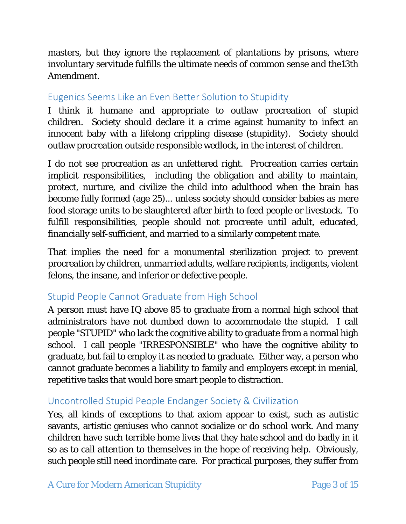masters, but they ignore the replacement of plantations by prisons, where involuntary servitude fulfills the ultimate needs of common sense and the13th Amendment.

# <span id="page-3-0"></span>Eugenics Seems Like an Even Better Solution to Stupidity

I think it humane and appropriate to outlaw procreation of stupid children. Society should declare it a crime against humanity to infect an innocent baby with a lifelong crippling disease (stupidity). Society should outlaw procreation outside responsible wedlock, in the interest of children.

I do not see procreation as an unfettered right. Procreation carries certain implicit responsibilities, including the obligation and ability to maintain, protect, nurture, and civilize the child into adulthood when the brain has become fully formed (age 25)... unless society should consider babies as mere food storage units to be slaughtered after birth to feed people or livestock. To fulfill responsibilities, people should not procreate until adult, educated, financially self-sufficient, and married to a similarly competent mate.

That implies the need for a monumental sterilization project to prevent procreation by children, unmarried adults, welfare recipients, indigents, violent felons, the insane, and inferior or defective people.

# <span id="page-3-1"></span>Stupid People Cannot Graduate from High School

A person must have IQ above 85 to graduate from a normal high school that administrators have not dumbed down to accommodate the stupid. I call people "STUPID" who lack the cognitive ability to graduate from a normal high school. I call people "IRRESPONSIBLE" who have the cognitive ability to graduate, but fail to employ it as needed to graduate. Either way, a person who cannot graduate becomes a liability to family and employers except in menial, repetitive tasks that would bore smart people to distraction.

# <span id="page-3-2"></span>Uncontrolled Stupid People Endanger Society & Civilization

Yes, all kinds of exceptions to that axiom appear to exist, such as autistic savants, artistic geniuses who cannot socialize or do school work. And many children have such terrible home lives that they hate school and do badly in it so as to call attention to themselves in the hope of receiving help. Obviously, such people still need inordinate care. For practical purposes, they suffer from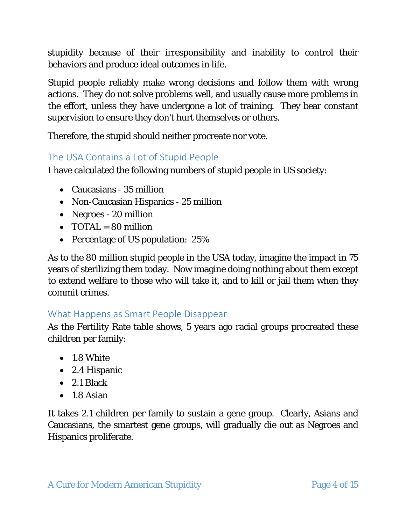stupidity because of their irresponsibility and inability to control their behaviors and produce ideal outcomes in life.

Stupid people reliably make wrong decisions and follow them with wrong actions. They do not solve problems well, and usually cause more problems in the effort, unless they have undergone a lot of training. They bear constant supervision to ensure they don't hurt themselves or others.

Therefore, the stupid should neither procreate nor vote.

# <span id="page-4-0"></span>The USA Contains a Lot of Stupid People

I have calculated the following numbers of stupid people in US society:

- Caucasians 35 million
- Non-Caucasian Hispanics 25 million
- Negroes 20 million
- $TOTAI = 80 million$
- Percentage of US population: 25%

As to the 80 million stupid people in the USA today, imagine the impact in 75 years of sterilizing them today. Now imagine doing nothing about them except to extend welfare to those who will take it, and to kill or jail them when they commit crimes.

#### <span id="page-4-1"></span>What Happens as Smart People Disappear

As the Fertility Rate table shows, 5 years ago racial groups procreated these children per family:

- 1.8 White
- 2.4 Hispanic
- 2.1 Black
- 1.8 Asian

It takes 2.1 children per family to sustain a gene group. Clearly, Asians and Caucasians, the smartest gene groups, will gradually die out as Negroes and Hispanics proliferate.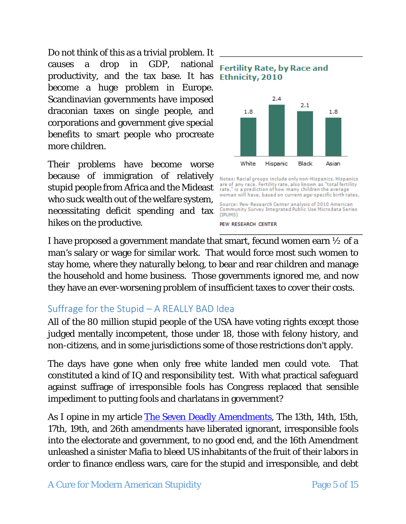Do not think of this as a trivial problem. It causes a drop in GDP, national productivity, and the tax base. It has Ethnicity, 2010 become a huge problem in Europe. Scandinavian governments have imposed draconian taxes on single people, and corporations and government give special benefits to smart people who procreate more children.

Their problems have become worse because of immigration of relatively stupid people from Africa and the Mideast who suck wealth out of the welfare system, necessitating deficit spending and tax hikes on the productive.





are of any race. Fertility rate, also known as "total fertility<br>rate," is a prediction of how many children the average woman will have, based on current age-specific birth rates. Source: Pew Research Center analysis of 2010 American Community Survey Integrated Public Use Microdata Series (IPUMS)

PEW RESEARCH CENTER

I have proposed a government mandate that smart, fecund women earn  $\frac{1}{2}$  of a man's salary or wage for similar work. That would force most such women to stay home, where they naturally belong, to bear and rear children and manage the household and home business. Those governments ignored me, and now they have an ever-worsening problem of insufficient taxes to cover their costs.

# <span id="page-5-0"></span>Suffrage for the Stupid – A REALLY BAD Idea

All of the 80 million stupid people of the USA have voting rights except those judged mentally incompetent, those under 18, those with felony history, and non-citizens, and in some jurisdictions some of those restrictions don't apply.

The days have gone when only free white landed men could vote. That constituted a kind of IQ and responsibility test. With what practical safeguard against suffrage of irresponsible fools has Congress replaced that sensible impediment to putting fools and charlatans in government?

As I opine in my article [The Seven Deadly Amendments,](http://bobhurt.com/articles/law%20-%20The%20Seven%20Deadly%20Amendments.pdf) The 13th, 14th, 15th, 17th, 19th, and 26th amendments have liberated ignorant, irresponsible fools into the electorate and government, to no good end, and the 16th Amendment unleashed a sinister Mafia to bleed US inhabitants of the fruit of their labors in order to finance endless wars, care for the stupid and irresponsible, and debt

A Cure for Modern American Stupidity Page 5 of 15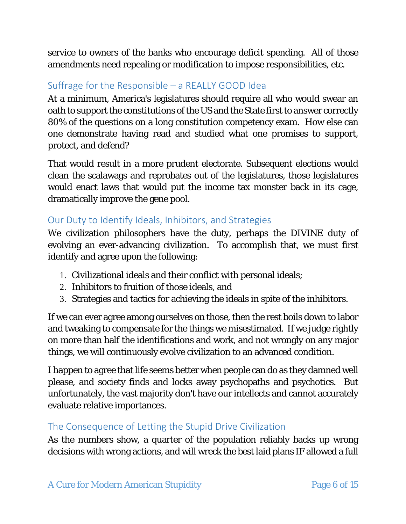service to owners of the banks who encourage deficit spending. All of those amendments need repealing or modification to impose responsibilities, etc.

## <span id="page-6-0"></span>Suffrage for the Responsible – a REALLY GOOD Idea

At a minimum, America's legislatures should require all who would swear an oath to support the constitutions of the US and the State first to answer correctly 80% of the questions on a long constitution competency exam. How else can one demonstrate having read and studied what one promises to support, protect, and defend?

That would result in a more prudent electorate. Subsequent elections would clean the scalawags and reprobates out of the legislatures, those legislatures would enact laws that would put the income tax monster back in its cage, dramatically improve the gene pool.

### <span id="page-6-1"></span>Our Duty to Identify Ideals, Inhibitors, and Strategies

We civilization philosophers have the duty, perhaps the DIVINE duty of evolving an ever-advancing civilization. To accomplish that, we must first identify and agree upon the following:

- 1. Civilizational ideals and their conflict with personal ideals;
- 2. Inhibitors to fruition of those ideals, and
- 3. Strategies and tactics for achieving the ideals in spite of the inhibitors.

If we can ever agree among ourselves on those, then the rest boils down to labor and tweaking to compensate for the things we misestimated. If we judge rightly on more than half the identifications and work, and not wrongly on any major things, we will continuously evolve civilization to an advanced condition.

I happen to agree that life seems better when people can do as they damned well please, and society finds and locks away psychopaths and psychotics. But unfortunately, the vast majority don't have our intellects and cannot accurately evaluate relative importances.

# <span id="page-6-2"></span>The Consequence of Letting the Stupid Drive Civilization

As the numbers show, a quarter of the population reliably backs up wrong decisions with wrong actions, and will wreck the best laid plans IF allowed a full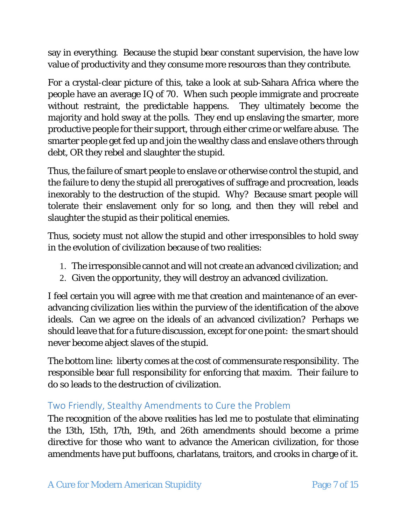say in everything. Because the stupid bear constant supervision, the have low value of productivity and they consume more resources than they contribute.

For a crystal-clear picture of this, take a look at sub-Sahara Africa where the people have an average IQ of 70. When such people immigrate and procreate without restraint, the predictable happens. They ultimately become the majority and hold sway at the polls. They end up enslaving the smarter, more productive people for their support, through either crime or welfare abuse. The smarter people get fed up and join the wealthy class and enslave others through debt, OR they rebel and slaughter the stupid.

Thus, the failure of smart people to enslave or otherwise control the stupid, and the failure to deny the stupid all prerogatives of suffrage and procreation, leads inexorably to the destruction of the stupid. Why? Because smart people will tolerate their enslavement only for so long, and then they will rebel and slaughter the stupid as their political enemies.

Thus, society must not allow the stupid and other irresponsibles to hold sway in the evolution of civilization because of two realities:

- 1. The irresponsible cannot and will not create an advanced civilization; and
- 2. Given the opportunity, they will destroy an advanced civilization.

I feel certain you will agree with me that creation and maintenance of an everadvancing civilization lies within the purview of the identification of the above ideals. Can we agree on the ideals of an advanced civilization? Perhaps we should leave that for a future discussion, except for one point: the smart should never become abject slaves of the stupid.

The bottom line: liberty comes at the cost of commensurate responsibility. The responsible bear full responsibility for enforcing that maxim. Their failure to do so leads to the destruction of civilization.

# <span id="page-7-0"></span>Two Friendly, Stealthy Amendments to Cure the Problem

The recognition of the above realities has led me to postulate that eliminating the 13th, 15th, 17th, 19th, and 26th amendments should become a prime directive for those who want to advance the American civilization, for those amendments have put buffoons, charlatans, traitors, and crooks in charge of it.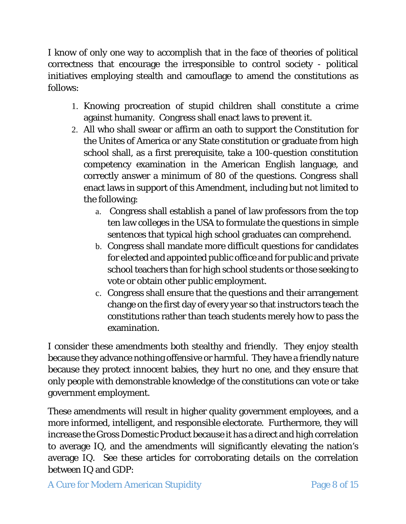I know of only one way to accomplish that in the face of theories of political correctness that encourage the irresponsible to control society - political initiatives employing stealth and camouflage to amend the constitutions as follows:

- 1. Knowing procreation of stupid children shall constitute a crime against humanity. Congress shall enact laws to prevent it.
- 2. All who shall swear or affirm an oath to support the Constitution for the Unites of America or any State constitution or graduate from high school shall, as a first prerequisite, take a 100-question constitution competency examination in the American English language, and correctly answer a minimum of 80 of the questions. Congress shall enact laws in support of this Amendment, including but not limited to the following:
	- a. Congress shall establish a panel of law professors from the top ten law colleges in the USA to formulate the questions in simple sentences that typical high school graduates can comprehend.
	- b. Congress shall mandate more difficult questions for candidates for elected and appointed public office and for public and private school teachers than for high school students or those seeking to vote or obtain other public employment.
	- c. Congress shall ensure that the questions and their arrangement change on the first day of every year so that instructors teach the constitutions rather than teach students merely how to pass the examination.

I consider these amendments both stealthy and friendly. They enjoy stealth because they advance nothing offensive or harmful. They have a friendly nature because they protect innocent babies, they hurt no one, and they ensure that only people with demonstrable knowledge of the constitutions can vote or take government employment.

These amendments will result in higher quality government employees, and a more informed, intelligent, and responsible electorate. Furthermore, they will increase the Gross Domestic Product because it has a direct and high correlation to average IQ, and the amendments will significantly elevating the nation's average IQ. See these articles for corroborating details on the correlation between IQ and GDP:

A Cure for Modern American Stupidity Page 8 of 15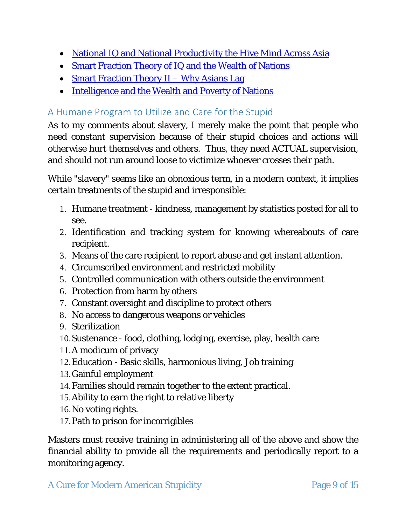- [National IQ and National Productivity the Hive Mind Across Asia](http://mason.gmu.edu/%7Egjonesb/JonesADR)
- [Smart Fraction Theory of IQ and the Wealth of Nations](http://www.lagriffedulion.f2s.com/sft.htm)
- [Smart Fraction Theory II –](http://www.lagriffedulion.f2s.com/sft2.htm) Why Asians Lag
- [Intelligence and the Wealth and Poverty of Nations](http://www.rlynn.co.uk/uploads/pdfs/Intelligence%20and%20the%20Wealth%20and%20Poverty%20of%20Nations.pdf)

# <span id="page-9-0"></span>A Humane Program to Utilize and Care for the Stupid

As to my comments about slavery, I merely make the point that people who need constant supervision because of their stupid choices and actions will otherwise hurt themselves and others. Thus, they need ACTUAL supervision, and should not run around loose to victimize whoever crosses their path.

While "slavery" seems like an obnoxious term, in a modern context, it implies certain treatments of the stupid and irresponsible:

- 1. Humane treatment kindness, management by statistics posted for all to see.
- 2. Identification and tracking system for knowing whereabouts of care recipient.
- 3. Means of the care recipient to report abuse and get instant attention.
- 4. Circumscribed environment and restricted mobility
- 5. Controlled communication with others outside the environment
- 6. Protection from harm by others
- 7. Constant oversight and discipline to protect others
- 8. No access to dangerous weapons or vehicles
- 9. Sterilization
- 10.Sustenance food, clothing, lodging, exercise, play, health care
- 11.A modicum of privacy
- 12.Education Basic skills, harmonious living, Job training
- 13.Gainful employment
- 14.Families should remain together to the extent practical.
- 15.Ability to earn the right to relative liberty
- 16.No voting rights.
- 17.Path to prison for incorrigibles

Masters must receive training in administering all of the above and show the financial ability to provide all the requirements and periodically report to a monitoring agency.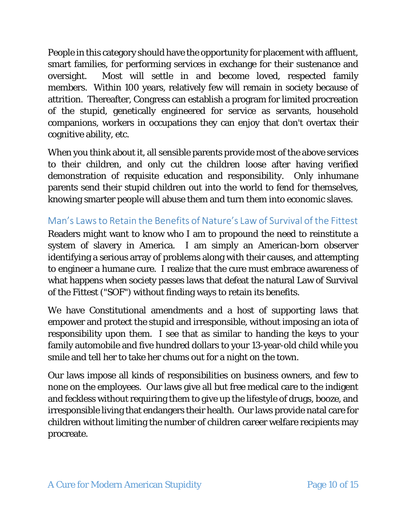People in this category should have the opportunity for placement with affluent, smart families, for performing services in exchange for their sustenance and oversight. Most will settle in and become loved, respected family members. Within 100 years, relatively few will remain in society because of attrition. Thereafter, Congress can establish a program for limited procreation of the stupid, genetically engineered for service as servants, household companions, workers in occupations they can enjoy that don't overtax their cognitive ability, etc.

When you think about it, all sensible parents provide most of the above services to their children, and only cut the children loose after having verified demonstration of requisite education and responsibility. Only inhumane parents send their stupid children out into the world to fend for themselves, knowing smarter people will abuse them and turn them into economic slaves.

<span id="page-10-0"></span>Man's Laws to Retain the Benefits of Nature's Law of Survival of the Fittest Readers might want to know who I am to propound the need to reinstitute a system of slavery in America. I am simply an American-born observer identifying a serious array of problems along with their causes, and attempting to engineer a humane cure. I realize that the cure must embrace awareness of what happens when society passes laws that defeat the natural Law of Survival of the Fittest ("SOF") without finding ways to retain its benefits.

We have Constitutional amendments and a host of supporting laws that empower and protect the stupid and irresponsible, without imposing an iota of responsibility upon them. I see that as similar to handing the keys to your family automobile and five hundred dollars to your 13-year-old child while you smile and tell her to take her chums out for a night on the town.

Our laws impose all kinds of responsibilities on business owners, and few to none on the employees. Our laws give all but free medical care to the indigent and feckless without requiring them to give up the lifestyle of drugs, booze, and irresponsible living that endangers their health. Our laws provide natal care for children without limiting the number of children career welfare recipients may procreate.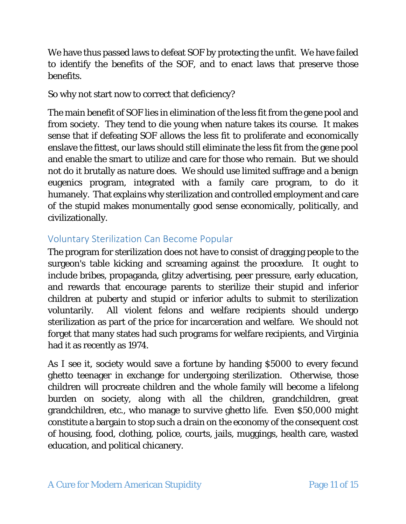We have thus passed laws to defeat SOF by protecting the unfit. We have failed to identify the benefits of the SOF, and to enact laws that preserve those benefits.

So why not start now to correct that deficiency?

The main benefit of SOF lies in elimination of the less fit from the gene pool and from society. They tend to die young when nature takes its course. It makes sense that if defeating SOF allows the less fit to proliferate and economically enslave the fittest, our laws should still eliminate the less fit from the gene pool and enable the smart to utilize and care for those who remain. But we should not do it brutally as nature does. We should use limited suffrage and a benign eugenics program, integrated with a family care program, to do it humanely. That explains why sterilization and controlled employment and care of the stupid makes monumentally good sense economically, politically, and civilizationally.

# <span id="page-11-0"></span>Voluntary Sterilization Can Become Popular

The program for sterilization does not have to consist of dragging people to the surgeon's table kicking and screaming against the procedure. It ought to include bribes, propaganda, glitzy advertising, peer pressure, early education, and rewards that encourage parents to sterilize their stupid and inferior children at puberty and stupid or inferior adults to submit to sterilization voluntarily. All violent felons and welfare recipients should undergo sterilization as part of the price for incarceration and welfare. We should not forget that many states had such programs for welfare recipients, and Virginia had it as recently as 1974.

As I see it, society would save a fortune by handing \$5000 to every fecund ghetto teenager in exchange for undergoing sterilization. Otherwise, those children will procreate children and the whole family will become a lifelong burden on society, along with all the children, grandchildren, great grandchildren, etc., who manage to survive ghetto life. Even \$50,000 might constitute a bargain to stop such a drain on the economy of the consequent cost of housing, food, clothing, police, courts, jails, muggings, health care, wasted education, and political chicanery.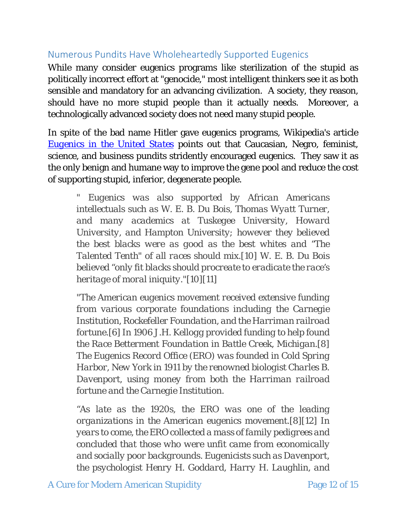# <span id="page-12-0"></span>Numerous Pundits Have Wholeheartedly Supported Eugenics

While many consider eugenics programs like sterilization of the stupid as politically incorrect effort at "genocide," most intelligent thinkers see it as both sensible and mandatory for an advancing civilization. A society, they reason, should have no more stupid people than it actually needs. Moreover, a technologically advanced society does not need many stupid people.

In spite of the bad name Hitler gave eugenics programs, Wikipedia's article *[Eugenics in the United States](http://en.wikipedia.org/wiki/Eugenics_in_the_United_States)* points out that Caucasian, Negro, feminist, science, and business pundits stridently encouraged eugenics. They saw it as the only benign and humane way to improve the gene pool and reduce the cost of supporting stupid, inferior, degenerate people.

*" Eugenics was also supported by African Americans intellectuals such as W. E. B. Du Bois, Thomas Wyatt Turner, and many academics at Tuskegee University, Howard University, and Hampton University; however they believed the best blacks were as good as the best whites and "The Talented Tenth" of all races should mix.[10] W. E. B. Du Bois believed "only fit blacks should procreate to eradicate the race's heritage of moral iniquity."[10][11]*

*"The American eugenics movement received extensive funding from various corporate foundations including the Carnegie Institution, Rockefeller Foundation, and the Harriman railroad fortune.[6] In 1906 J.H. Kellogg provided funding to help found the Race Betterment Foundation in Battle Creek, Michigan.[8] The Eugenics Record Office (ERO) was founded in Cold Spring Harbor, New York in 1911 by the renowned biologist Charles B. Davenport, using money from both the Harriman railroad fortune and the Carnegie Institution.* 

*"As late as the 1920s, the ERO was one of the leading organizations in the American eugenics movement.[8][12] In years to come, the ERO collected a mass of family pedigrees and concluded that those who were unfit came from economically and socially poor backgrounds. Eugenicists such as Davenport, the psychologist Henry H. Goddard, Harry H. Laughlin, and* 

A Cure for Modern American Stupidity Page 12 of 15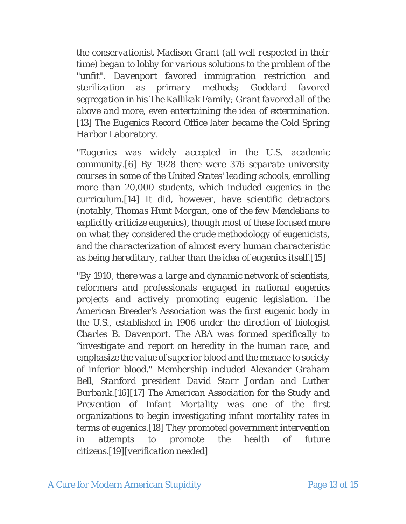*the conservationist Madison Grant (all well respected in their time) began to lobby for various solutions to the problem of the "unfit". Davenport favored immigration restriction and sterilization as primary methods; Goddard favored segregation in his The Kallikak Family; Grant favored all of the above and more, even entertaining the idea of extermination. [13] The Eugenics Record Office later became the Cold Spring Harbor Laboratory.*

*"Eugenics was widely accepted in the U.S. academic community.[6] By 1928 there were 376 separate university courses in some of the United States' leading schools, enrolling more than 20,000 students, which included eugenics in the curriculum.[14] It did, however, have scientific detractors (notably, Thomas Hunt Morgan, one of the few Mendelians to explicitly criticize eugenics), though most of these focused more on what they considered the crude methodology of eugenicists, and the characterization of almost every human characteristic as being hereditary, rather than the idea of eugenics itself.[15]*

*"By 1910, there was a large and dynamic network of scientists, reformers and professionals engaged in national eugenics projects and actively promoting eugenic legislation. The American Breeder's Association was the first eugenic body in the U.S., established in 1906 under the direction of biologist Charles B. Davenport. The ABA was formed specifically to "investigate and report on heredity in the human race, and emphasize the value of superior blood and the menace to society of inferior blood." Membership included Alexander Graham Bell, Stanford president David Starr Jordan and Luther Burbank.[16][17] The American Association for the Study and Prevention of Infant Mortality was one of the first organizations to begin investigating infant mortality rates in terms of eugenics.[18] They promoted government intervention in attempts to promote the health of future citizens.[19][verification needed]*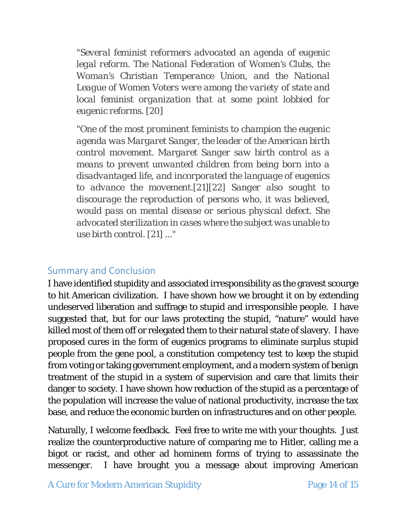*"Several feminist reformers advocated an agenda of eugenic legal reform. The National Federation of Women's Clubs, the Woman's Christian Temperance Union, and the National League of Women Voters were among the variety of state and local feminist organization that at some point lobbied for eugenic reforms. [20]*

*"One of the most prominent feminists to champion the eugenic agenda was Margaret Sanger, the leader of the American birth control movement. Margaret Sanger saw birth control as a means to prevent unwanted children from being born into a disadvantaged life, and incorporated the language of eugenics to advance the movement.[21][22] Sanger also sought to discourage the reproduction of persons who, it was believed, would pass on mental disease or serious physical defect. She advocated sterilization in cases where the subject was unable to use birth control. [21] ..."*

#### <span id="page-14-0"></span>Summary and Conclusion

I have identified stupidity and associated irresponsibility as the gravest scourge to hit American civilization. I have shown how we brought it on by extending undeserved liberation and suffrage to stupid and irresponsible people. I have suggested that, but for our laws protecting the stupid, "nature" would have killed most of them off or relegated them to their natural state of slavery. I have proposed cures in the form of eugenics programs to eliminate surplus stupid people from the gene pool, a constitution competency test to keep the stupid from voting or taking government employment, and a modern system of benign treatment of the stupid in a system of supervision and care that limits their danger to society. I have shown how reduction of the stupid as a percentage of the population will increase the value of national productivity, increase the tax base, and reduce the economic burden on infrastructures and on other people.

Naturally, I welcome feedback. Feel free to write me with your thoughts. Just realize the counterproductive nature of comparing me to Hitler, calling me a bigot or racist, and other ad hominem forms of trying to assassinate the messenger. I have brought you a message about improving American

A Cure for Modern American Stupidity Page 14 of 15